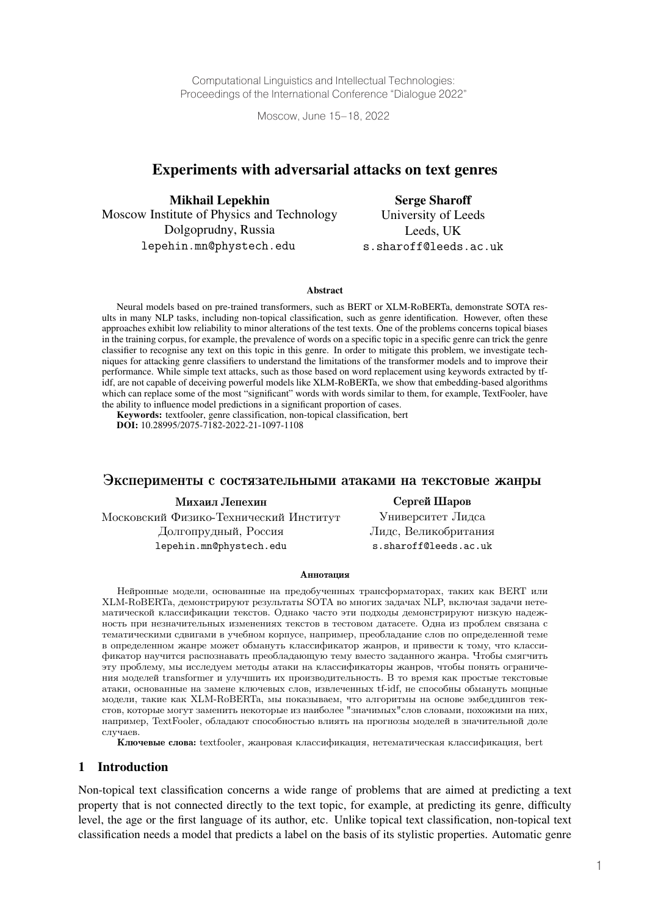Computational Linguistics and Intellectual Technologies: Proceedings of the International Conference "Dialogue 2022"

Moscow, June 15–18, 2022

## Experiments with adversarial attacks on text genres

Mikhail Lepekhin Moscow Institute of Physics and Technology Dolgoprudny, Russia lepehin.mn@phystech.edu

Serge Sharoff University of Leeds Leeds, UK s.sharoff@leeds.ac.uk

#### Abstract

Neural models based on pre-trained transformers, such as BERT or XLM-RoBERTa, demonstrate SOTA results in many NLP tasks, including non-topical classification, such as genre identification. However, often these approaches exhibit low reliability to minor alterations of the test texts. One of the problems concerns topical biases in the training corpus, for example, the prevalence of words on a specific topic in a specific genre can trick the genre classifier to recognise any text on this topic in this genre. In order to mitigate this problem, we investigate techniques for attacking genre classifiers to understand the limitations of the transformer models and to improve their performance. While simple text attacks, such as those based on word replacement using keywords extracted by tfidf, are not capable of deceiving powerful models like XLM-RoBERTa, we show that embedding-based algorithms which can replace some of the most "significant" words with words similar to them, for example, TextFooler, have the ability to influence model predictions in a significant proportion of cases.

Keywords: textfooler, genre classification, non-topical classification, bert DOI: 10.28995/2075-7182-2022-21-1097-1108

#### Эксперименты с состязательными атаками на текстовые жанры

Михаил Лепехин

Московский Физико-Технический Институт Долгопрудный, Россия lepehin.mn@phystech.edu

#### Сергей Шаров

Университет Лидса Лидс, Великобритания s.sharoff@leeds.ac.uk

#### Аннотация

Нейронные модели, основанные на предобученных трансформаторах, таких как BERT или XLM-RoBERTa, демонстрируют результаты SOTA во многих задачах NLP, включая задачи нетематической классификации текстов. Однако часто эти подходы демонстрируют низкую надежность при незначительных изменениях текстов в тестовом датасете. Одна из проблем связана с тематическими сдвигами в учебном корпусе, например, преобладание слов по определенной теме в определенном жанре может обмануть классификатор жанров, и привести к тому, что классификатор научится распознавать преобладающую тему вместо заданного жанра. Чтобы смягчить эту проблему, мы исследуем методы атаки на классификаторы жанров, чтобы понять ограничения моделей transformer и улучшить их производительность. В то время как простые текстовые атаки, основанные на замене ключевых слов, извлеченных tf-idf, не способны обмануть мощные модели, такие как XLM-RoBERTa, мы показываем, что алгоритмы на основе эмбеддингов текстов, которые могут заменить некоторые из наиболее "значимых"слов словами, похожими на них, например, TextFooler, обладают способностью влиять на прогнозы моделей в значительной доле случаев.

Ключевые слова: textfooler, жанровая классификация, нетематическая классификация, bert

### 1 Introduction

Non-topical text classification concerns a wide range of problems that are aimed at predicting a text property that is not connected directly to the text topic, for example, at predicting its genre, difficulty level, the age or the first language of its author, etc. Unlike topical text classification, non-topical text classification needs a model that predicts a label on the basis of its stylistic properties. Automatic genre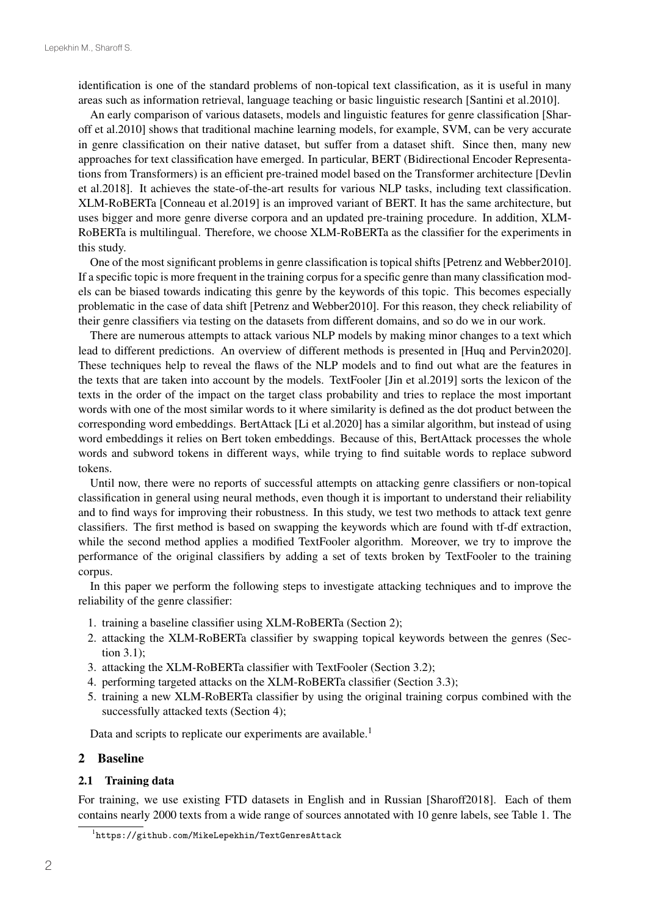identification is one of the standard problems of non-topical text classification, as it is useful in many areas such as information retrieval, language teaching or basic linguistic research [Santini et al.2010].

An early comparison of various datasets, models and linguistic features for genre classification [Sharoff et al.2010] shows that traditional machine learning models, for example, SVM, can be very accurate in genre classification on their native dataset, but suffer from a dataset shift. Since then, many new approaches for text classification have emerged. In particular, BERT (Bidirectional Encoder Representations from Transformers) is an efficient pre-trained model based on the Transformer architecture [Devlin et al.2018]. It achieves the state-of-the-art results for various NLP tasks, including text classification. XLM-RoBERTa [Conneau et al.2019] is an improved variant of BERT. It has the same architecture, but uses bigger and more genre diverse corpora and an updated pre-training procedure. In addition, XLM-RoBERTa is multilingual. Therefore, we choose XLM-RoBERTa as the classifier for the experiments in this study.

One of the most significant problems in genre classification is topical shifts [Petrenz and Webber2010]. If a specific topic is more frequent in the training corpus for a specific genre than many classification models can be biased towards indicating this genre by the keywords of this topic. This becomes especially problematic in the case of data shift [Petrenz and Webber2010]. For this reason, they check reliability of their genre classifiers via testing on the datasets from different domains, and so do we in our work.

There are numerous attempts to attack various NLP models by making minor changes to a text which lead to different predictions. An overview of different methods is presented in [Huq and Pervin2020]. These techniques help to reveal the flaws of the NLP models and to find out what are the features in the texts that are taken into account by the models. TextFooler [Jin et al.2019] sorts the lexicon of the texts in the order of the impact on the target class probability and tries to replace the most important words with one of the most similar words to it where similarity is defined as the dot product between the corresponding word embeddings. BertAttack [Li et al.2020] has a similar algorithm, but instead of using word embeddings it relies on Bert token embeddings. Because of this, BertAttack processes the whole words and subword tokens in different ways, while trying to find suitable words to replace subword tokens.

Until now, there were no reports of successful attempts on attacking genre classifiers or non-topical classification in general using neural methods, even though it is important to understand their reliability and to find ways for improving their robustness. In this study, we test two methods to attack text genre classifiers. The first method is based on swapping the keywords which are found with tf-df extraction, while the second method applies a modified TextFooler algorithm. Moreover, we try to improve the performance of the original classifiers by adding a set of texts broken by TextFooler to the training corpus.

In this paper we perform the following steps to investigate attacking techniques and to improve the reliability of the genre classifier:

- 1. training a baseline classifier using XLM-RoBERTa (Section 2);
- 2. attacking the XLM-RoBERTa classifier by swapping topical keywords between the genres (Section 3.1);
- 3. attacking the XLM-RoBERTa classifier with TextFooler (Section 3.2);
- 4. performing targeted attacks on the XLM-RoBERTa classifier (Section 3.3);
- 5. training a new XLM-RoBERTa classifier by using the original training corpus combined with the successfully attacked texts (Section 4);

Data and scripts to replicate our experiments are available.<sup>1</sup>

#### 2 Baseline

#### 2.1 Training data

For training, we use existing FTD datasets in English and in Russian [Sharoff2018]. Each of them contains nearly 2000 texts from a wide range of sources annotated with 10 genre labels, see Table 1. The

<sup>1</sup> https://github.com/MikeLepekhin/TextGenresAttack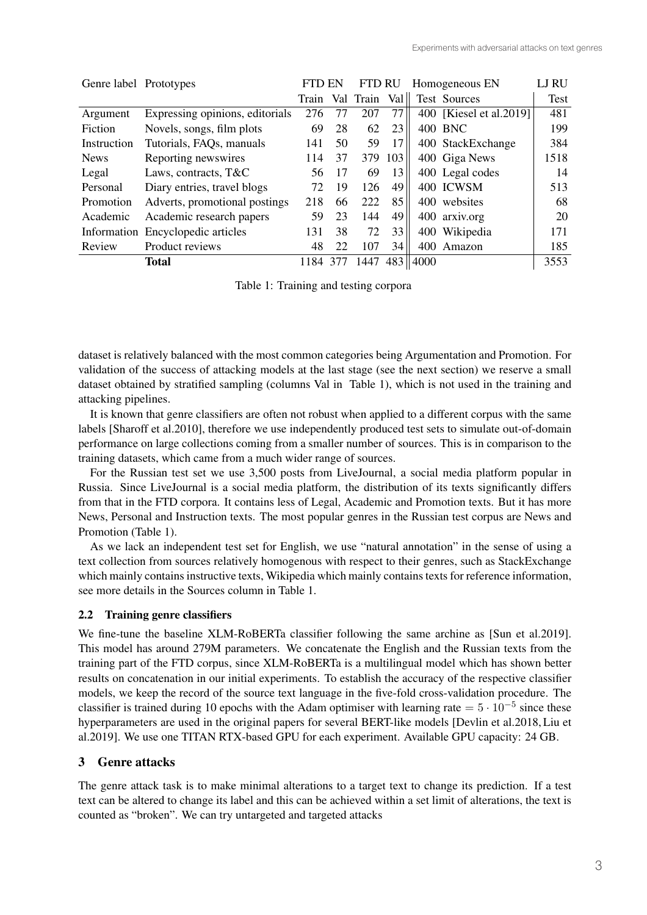| Genre label Prototypes |                                   | FTD EN |     | <b>FTD RU</b> |     |              | Homogeneous EN          | LJ RU |
|------------------------|-----------------------------------|--------|-----|---------------|-----|--------------|-------------------------|-------|
|                        |                                   | Train  | Val | Train         | Val |              | Test Sources            | Test  |
| Argument               | Expressing opinions, editorials   | 276    | 77  | 207           | 77  |              | 400 [Kiesel et al.2019] | 481   |
| Fiction                | Novels, songs, film plots         | 69     | 28  | 62            | 23  |              | 400 BNC                 | 199   |
| Instruction            | Tutorials, FAQs, manuals          | 141    | 50  | 59            | 17  |              | 400 StackExchange       | 384   |
| <b>News</b>            | Reporting newswires               | 114    | 37  | 379           | 103 |              | 400 Giga News           | 1518  |
| Legal                  | Laws, contracts, T&C              | 56     | 17  | 69            | 13  |              | 400 Legal codes         | 14    |
| Personal               | Diary entries, travel blogs       | 72     | 19  | 126           | 49  |              | 400 ICWSM               | 513   |
| Promotion              | Adverts, promotional postings     | 218    | 66  | 222           | 85  |              | 400 websites            | 68    |
| Academic               | Academic research papers          | 59     | 23  | 144           | 49  |              | 400 arxiv.org           | 20    |
|                        | Information Encyclopedic articles | 131    | 38  | 72            | 33  |              | 400 Wikipedia           | 171   |
| Review                 | Product reviews                   | 48     | 22  | 107           | 34  |              | 400 Amazon              | 185   |
|                        | <b>Total</b>                      | 1184   | 377 | 1447          |     | $483$   4000 |                         | 3553  |

Table 1: Training and testing corpora

dataset is relatively balanced with the most common categories being Argumentation and Promotion. For validation of the success of attacking models at the last stage (see the next section) we reserve a small dataset obtained by stratified sampling (columns Val in Table 1), which is not used in the training and attacking pipelines.

It is known that genre classifiers are often not robust when applied to a different corpus with the same labels [Sharoff et al.2010], therefore we use independently produced test sets to simulate out-of-domain performance on large collections coming from a smaller number of sources. This is in comparison to the training datasets, which came from a much wider range of sources.

For the Russian test set we use 3,500 posts from LiveJournal, a social media platform popular in Russia. Since LiveJournal is a social media platform, the distribution of its texts significantly differs from that in the FTD corpora. It contains less of Legal, Academic and Promotion texts. But it has more News, Personal and Instruction texts. The most popular genres in the Russian test corpus are News and Promotion (Table 1).

As we lack an independent test set for English, we use "natural annotation" in the sense of using a text collection from sources relatively homogenous with respect to their genres, such as StackExchange which mainly contains instructive texts, Wikipedia which mainly contains texts for reference information, see more details in the Sources column in Table 1.

## 2.2 Training genre classifiers

We fine-tune the baseline XLM-RoBERTa classifier following the same archine as [Sun et al.2019]. This model has around 279M parameters. We concatenate the English and the Russian texts from the training part of the FTD corpus, since XLM-RoBERTa is a multilingual model which has shown better results on concatenation in our initial experiments. To establish the accuracy of the respective classifier models, we keep the record of the source text language in the five-fold cross-validation procedure. The classifier is trained during 10 epochs with the Adam optimiser with learning rate =  $5 \cdot 10^{-5}$  since these hyperparameters are used in the original papers for several BERT-like models [Devlin et al.2018, Liu et al.2019]. We use one TITAN RTX-based GPU for each experiment. Available GPU capacity: 24 GB.

# 3 Genre attacks

The genre attack task is to make minimal alterations to a target text to change its prediction. If a test text can be altered to change its label and this can be achieved within a set limit of alterations, the text is counted as "broken". We can try untargeted and targeted attacks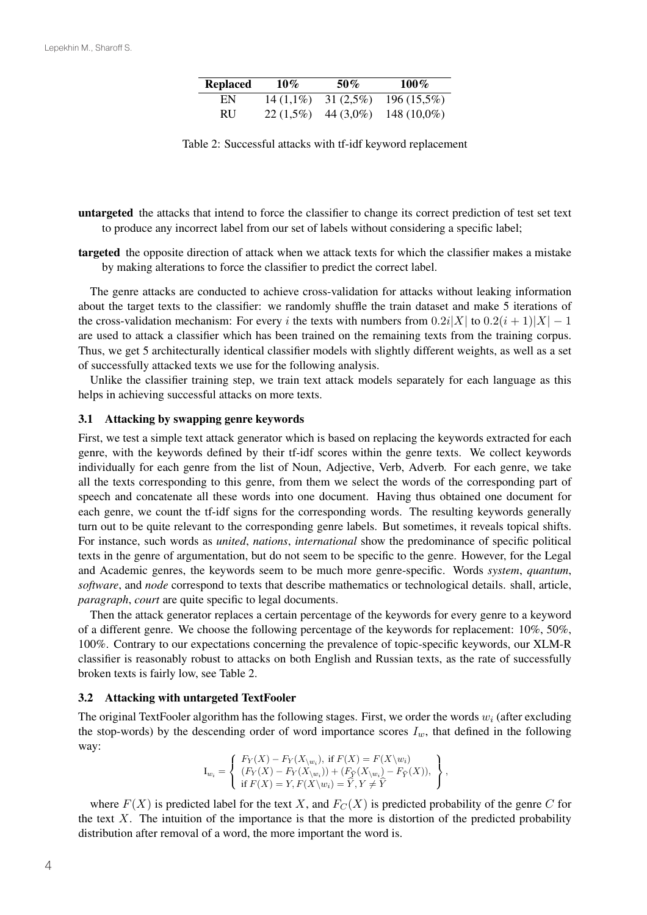| <b>Replaced</b> | $10\%$      | $50\%$      | $100\%$        |
|-----------------|-------------|-------------|----------------|
| EN              | $14(1,1\%)$ | $31(2,5\%)$ | $196(15,5\%)$  |
| RU              | $22(1.5\%)$ | 44 (3,0%)   | 148 $(10,0\%)$ |

Table 2: Successful attacks with tf-idf keyword replacement

untargeted the attacks that intend to force the classifier to change its correct prediction of test set text to produce any incorrect label from our set of labels without considering a specific label;

targeted the opposite direction of attack when we attack texts for which the classifier makes a mistake by making alterations to force the classifier to predict the correct label.

The genre attacks are conducted to achieve cross-validation for attacks without leaking information about the target texts to the classifier: we randomly shuffle the train dataset and make 5 iterations of the cross-validation mechanism: For every *i* the texts with numbers from  $0.2i|X|$  to  $0.2(i + 1)|X| - 1$ are used to attack a classifier which has been trained on the remaining texts from the training corpus. Thus, we get 5 architecturally identical classifier models with slightly different weights, as well as a set of successfully attacked texts we use for the following analysis.

Unlike the classifier training step, we train text attack models separately for each language as this helps in achieving successful attacks on more texts.

#### 3.1 Attacking by swapping genre keywords

First, we test a simple text attack generator which is based on replacing the keywords extracted for each genre, with the keywords defined by their tf-idf scores within the genre texts. We collect keywords individually for each genre from the list of Noun, Adjective, Verb, Adverb. For each genre, we take all the texts corresponding to this genre, from them we select the words of the corresponding part of speech and concatenate all these words into one document. Having thus obtained one document for each genre, we count the tf-idf signs for the corresponding words. The resulting keywords generally turn out to be quite relevant to the corresponding genre labels. But sometimes, it reveals topical shifts. For instance, such words as *united*, *nations*, *international* show the predominance of specific political texts in the genre of argumentation, but do not seem to be specific to the genre. However, for the Legal and Academic genres, the keywords seem to be much more genre-specific. Words *system*, *quantum*, *software*, and *node* correspond to texts that describe mathematics or technological details. shall, article, *paragraph*, *court* are quite specific to legal documents.

Then the attack generator replaces a certain percentage of the keywords for every genre to a keyword of a different genre. We choose the following percentage of the keywords for replacement: 10%, 50%, 100%. Contrary to our expectations concerning the prevalence of topic-specific keywords, our XLM-R classifier is reasonably robust to attacks on both English and Russian texts, as the rate of successfully broken texts is fairly low, see Table 2.

#### 3.2 Attacking with untargeted TextFooler

The original TextFooler algorithm has the following stages. First, we order the words  $w_i$  (after excluding the stop-words) by the descending order of word importance scores  $I_w$ , that defined in the following way:

$$
\mathbf{I}_{w_i} = \left\{ \begin{array}{l} F_Y(X) - F_Y(X_{\backslash w_i}), \text{ if } F(X) = F(X \backslash w_i) \\ (F_Y(X) - F_Y(X_{\backslash w_i})) + (F_{\widehat{Y}}(X_{\backslash w_i}) - F_{\widehat{Y}}(X)), \\ \text{ if } F(X) = Y, F(X \backslash w_i) = \widehat{Y}, Y \neq \widehat{Y} \end{array} \right\},
$$

where  $F(X)$  is predicted label for the text X, and  $F_C(X)$  is predicted probability of the genre C for the text  $X$ . The intuition of the importance is that the more is distortion of the predicted probability distribution after removal of a word, the more important the word is.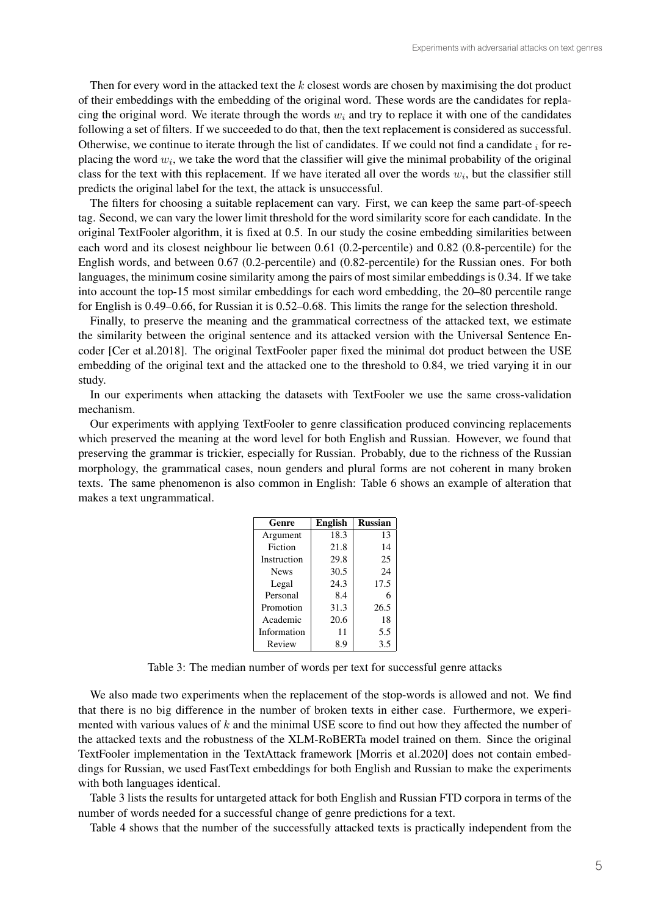Then for every word in the attacked text the  $k$  closest words are chosen by maximising the dot product of their embeddings with the embedding of the original word. These words are the candidates for replacing the original word. We iterate through the words  $w_i$  and try to replace it with one of the candidates following a set of filters. If we succeeded to do that, then the text replacement is considered as successful. Otherwise, we continue to iterate through the list of candidates. If we could not find a candidate  $\frac{1}{i}$  for replacing the word  $w_i$ , we take the word that the classifier will give the minimal probability of the original class for the text with this replacement. If we have iterated all over the words  $w_i$ , but the classifier still predicts the original label for the text, the attack is unsuccessful.

The filters for choosing a suitable replacement can vary. First, we can keep the same part-of-speech tag. Second, we can vary the lower limit threshold for the word similarity score for each candidate. In the original TextFooler algorithm, it is fixed at 0.5. In our study the cosine embedding similarities between each word and its closest neighbour lie between 0.61 (0.2-percentile) and 0.82 (0.8-percentile) for the English words, and between 0.67 (0.2-percentile) and (0.82-percentile) for the Russian ones. For both languages, the minimum cosine similarity among the pairs of most similar embeddings is 0.34. If we take into account the top-15 most similar embeddings for each word embedding, the 20–80 percentile range for English is 0.49–0.66, for Russian it is 0.52–0.68. This limits the range for the selection threshold.

Finally, to preserve the meaning and the grammatical correctness of the attacked text, we estimate the similarity between the original sentence and its attacked version with the Universal Sentence Encoder [Cer et al.2018]. The original TextFooler paper fixed the minimal dot product between the USE embedding of the original text and the attacked one to the threshold to 0.84, we tried varying it in our study.

In our experiments when attacking the datasets with TextFooler we use the same cross-validation mechanism.

Our experiments with applying TextFooler to genre classification produced convincing replacements which preserved the meaning at the word level for both English and Russian. However, we found that preserving the grammar is trickier, especially for Russian. Probably, due to the richness of the Russian morphology, the grammatical cases, noun genders and plural forms are not coherent in many broken texts. The same phenomenon is also common in English: Table 6 shows an example of alteration that makes a text ungrammatical.

| Genre       | <b>English</b> | <b>Russian</b> |
|-------------|----------------|----------------|
| Argument    | 18.3           | 13             |
| Fiction     | 21.8           | 14             |
| Instruction | 29.8           | 25             |
| <b>News</b> | 30.5           | 24             |
| Legal       | 24.3           | 17.5           |
| Personal    | 8.4            | 6              |
| Promotion   | 31.3           | 26.5           |
| Academic    | 20.6           | 18             |
| Information | 11             | 5.5            |
| Review      | 8.9            | 3.5            |

Table 3: The median number of words per text for successful genre attacks

We also made two experiments when the replacement of the stop-words is allowed and not. We find that there is no big difference in the number of broken texts in either case. Furthermore, we experimented with various values of  $k$  and the minimal USE score to find out how they affected the number of the attacked texts and the robustness of the XLM-RoBERTa model trained on them. Since the original TextFooler implementation in the TextAttack framework [Morris et al.2020] does not contain embeddings for Russian, we used FastText embeddings for both English and Russian to make the experiments with both languages identical.

Table 3 lists the results for untargeted attack for both English and Russian FTD corpora in terms of the number of words needed for a successful change of genre predictions for a text.

Table 4 shows that the number of the successfully attacked texts is practically independent from the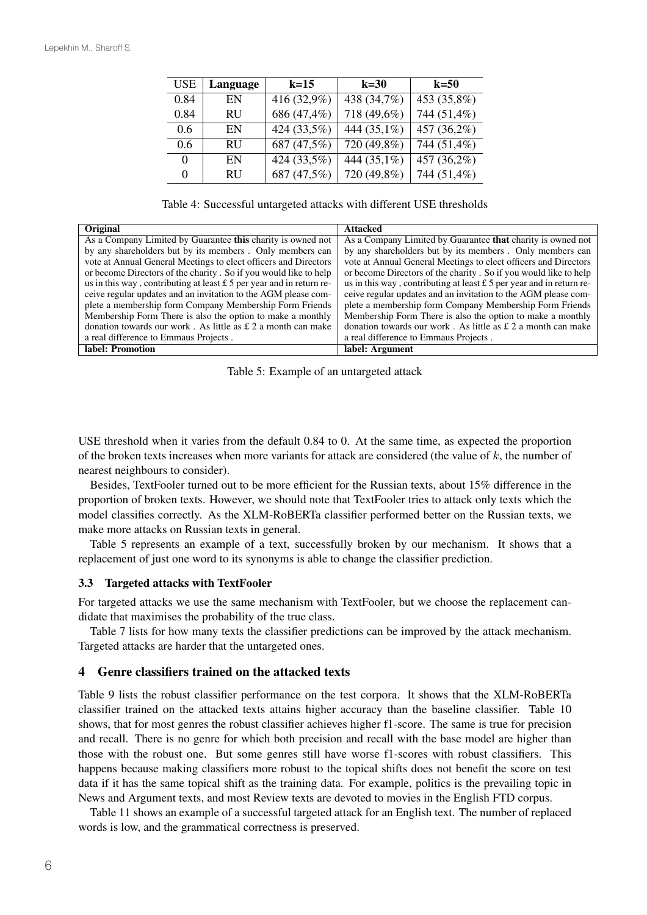| USE  | Language  | $k=15$      | $k=30$      | $k=50$      |
|------|-----------|-------------|-------------|-------------|
| 0.84 | EN        | 416 (32,9%) | 438 (34,7%) | 453 (35,8%) |
| 0.84 | <b>RU</b> | 686 (47,4%) | 718 (49,6%) | 744 (51,4%) |
| 0.6  | EN        | 424 (33,5%) | 444 (35,1%) | 457 (36,2%) |
| 0.6  | <b>RU</b> | 687 (47,5%) | 720 (49,8%) | 744 (51,4%) |
| 0    | EN        | 424 (33,5%) | 444 (35,1%) | 457 (36,2%) |
| 0    | <b>RU</b> | 687 (47,5%) | 720 (49,8%) | 744 (51,4%) |

Table 4: Successful untargeted attacks with different USE thresholds

| <b>Original</b>                                                        | <b>Attacked</b>                                                        |
|------------------------------------------------------------------------|------------------------------------------------------------------------|
| As a Company Limited by Guarantee this charity is owned not            | As a Company Limited by Guarantee <b>that</b> charity is owned not     |
| by any shareholders but by its members. Only members can               | by any shareholders but by its members. Only members can               |
| vote at Annual General Meetings to elect officers and Directors        | vote at Annual General Meetings to elect officers and Directors        |
| or become Directors of the charity. So if you would like to help       | or become Directors of the charity. So if you would like to help       |
| us in this way, contributing at least $£ 5$ per year and in return re- | us in this way, contributing at least $£ 5$ per year and in return re- |
| ceive regular updates and an invitation to the AGM please com-         | ceive regular updates and an invitation to the AGM please com-         |
| plete a membership form Company Membership Form Friends                | plete a membership form Company Membership Form Friends                |
| Membership Form There is also the option to make a monthly             | Membership Form There is also the option to make a monthly             |
| donation towards our work. As little as $\pounds 2$ a month can make   | donation towards our work. As little as $\pounds$ 2 a month can make   |
| a real difference to Emmaus Projects.                                  | a real difference to Emmaus Projects.                                  |
| label: Promotion                                                       | label: Argument                                                        |

Table 5: Example of an untargeted attack

USE threshold when it varies from the default 0.84 to 0. At the same time, as expected the proportion of the broken texts increases when more variants for attack are considered (the value of  $k$ , the number of nearest neighbours to consider).

Besides, TextFooler turned out to be more efficient for the Russian texts, about 15% difference in the proportion of broken texts. However, we should note that TextFooler tries to attack only texts which the model classifies correctly. As the XLM-RoBERTa classifier performed better on the Russian texts, we make more attacks on Russian texts in general.

Table 5 represents an example of a text, successfully broken by our mechanism. It shows that a replacement of just one word to its synonyms is able to change the classifier prediction.

#### 3.3 Targeted attacks with TextFooler

For targeted attacks we use the same mechanism with TextFooler, but we choose the replacement candidate that maximises the probability of the true class.

Table 7 lists for how many texts the classifier predictions can be improved by the attack mechanism. Targeted attacks are harder that the untargeted ones.

### 4 Genre classifiers trained on the attacked texts

Table 9 lists the robust classifier performance on the test corpora. It shows that the XLM-RoBERTa classifier trained on the attacked texts attains higher accuracy than the baseline classifier. Table 10 shows, that for most genres the robust classifier achieves higher f1-score. The same is true for precision and recall. There is no genre for which both precision and recall with the base model are higher than those with the robust one. But some genres still have worse f1-scores with robust classifiers. This happens because making classifiers more robust to the topical shifts does not benefit the score on test data if it has the same topical shift as the training data. For example, politics is the prevailing topic in News and Argument texts, and most Review texts are devoted to movies in the English FTD corpus.

Table 11 shows an example of a successful targeted attack for an English text. The number of replaced words is low, and the grammatical correctness is preserved.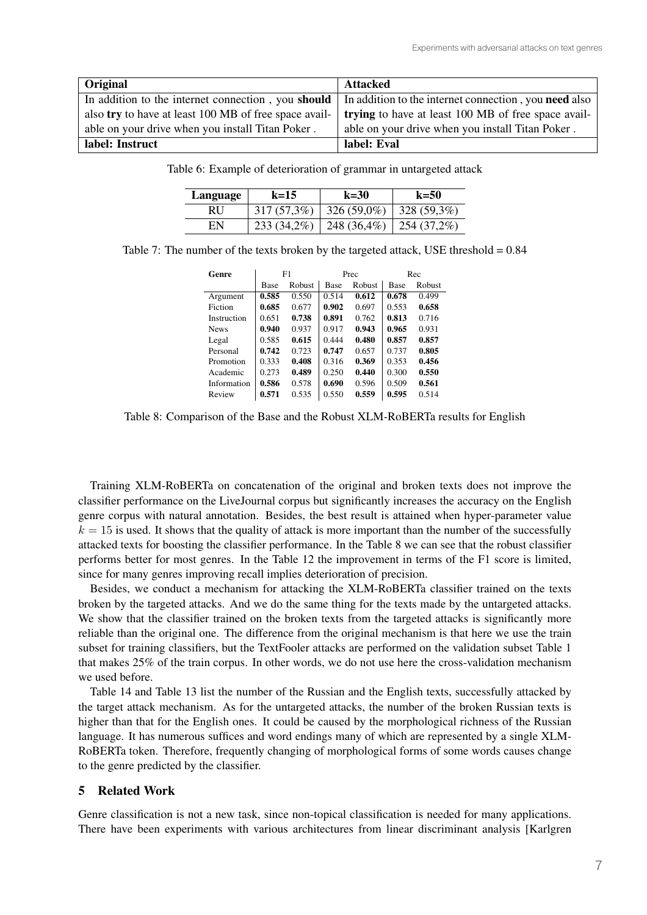| <b>Original</b>                                                                                                        | Attacked                                            |
|------------------------------------------------------------------------------------------------------------------------|-----------------------------------------------------|
| In addition to the internet connection, you <b>should</b> In addition to the internet connection, you <b>need</b> also |                                                     |
| also try to have at least 100 MB of free space avail-                                                                  | trying to have at least 100 MB of free space avail- |
| able on your drive when you install Titan Poker.                                                                       | able on your drive when you install Titan Poker.    |
| label: Instruct                                                                                                        | label: Eval                                         |

|  |  | Table 6: Example of deterioration of grammar in untargeted attack |  |
|--|--|-------------------------------------------------------------------|--|
|  |  |                                                                   |  |

| Language | $k=15$        | $k=30$        | $k=50$        |
|----------|---------------|---------------|---------------|
| RU.      | $317(57,3\%)$ | $326(59,0\%)$ | 328 (59,3%)   |
| EN       | $233(34,2\%)$ | 248 (36,4%)   | $254(37,2\%)$ |

Table 7: The number of the texts broken by the targeted attack, USE threshold = 0.84

|             |        | Prec        |        | Rec   |        |
|-------------|--------|-------------|--------|-------|--------|
| <b>Base</b> | Robust | <b>Base</b> | Robust | Base  | Robust |
| 0.585       | 0.550  | 0.514       | 0.612  | 0.678 | 0.499  |
| 0.685       | 0.677  | 0.902       | 0.697  | 0.553 | 0.658  |
| 0.651       | 0.738  | 0.891       | 0.762  | 0.813 | 0.716  |
| 0.940       | 0.937  | 0.917       | 0.943  | 0.965 | 0.931  |
| 0.585       | 0.615  | 0.444       | 0.480  | 0.857 | 0.857  |
| 0.742       | 0.723  | 0.747       | 0.657  | 0.737 | 0.805  |
| 0.333       | 0.408  | 0.316       | 0.369  | 0.353 | 0.456  |
| 0.273       | 0.489  | 0.250       | 0.440  | 0.300 | 0.550  |
| 0.586       | 0.578  | 0.690       | 0.596  | 0.509 | 0.561  |
| 0.571       | 0.535  | 0.550       | 0.559  | 0.595 | 0.514  |
|             |        | F1          |        |       |        |

Table 8: Comparison of the Base and the Robust XLM-RoBERTa results for English

Training XLM-RoBERTa on concatenation of the original and broken texts does not improve the classifier performance on the LiveJournal corpus but significantly increases the accuracy on the English genre corpus with natural annotation. Besides, the best result is attained when hyper-parameter value  $k = 15$  is used. It shows that the quality of attack is more important than the number of the successfully attacked texts for boosting the classifier performance. In the Table 8 we can see that the robust classifier performs better for most genres. In the Table 12 the improvement in terms of the F1 score is limited, since for many genres improving recall implies deterioration of precision.

Besides, we conduct a mechanism for attacking the XLM-RoBERTa classifier trained on the texts broken by the targeted attacks. And we do the same thing for the texts made by the untargeted attacks. We show that the classifier trained on the broken texts from the targeted attacks is significantly more reliable than the original one. The difference from the original mechanism is that here we use the train subset for training classifiers, but the TextFooler attacks are performed on the validation subset Table 1 that makes 25% of the train corpus. In other words, we do not use here the cross-validation mechanism we used before.

Table 14 and Table 13 list the number of the Russian and the English texts, successfully attacked by the target attack mechanism. As for the untargeted attacks, the number of the broken Russian texts is higher than that for the English ones. It could be caused by the morphological richness of the Russian language. It has numerous suffices and word endings many of which are represented by a single XLM-RoBERTa token. Therefore, frequently changing of morphological forms of some words causes change to the genre predicted by the classifier.

### 5 Related Work

Genre classification is not a new task, since non-topical classification is needed for many applications. There have been experiments with various architectures from linear discriminant analysis [Karlgren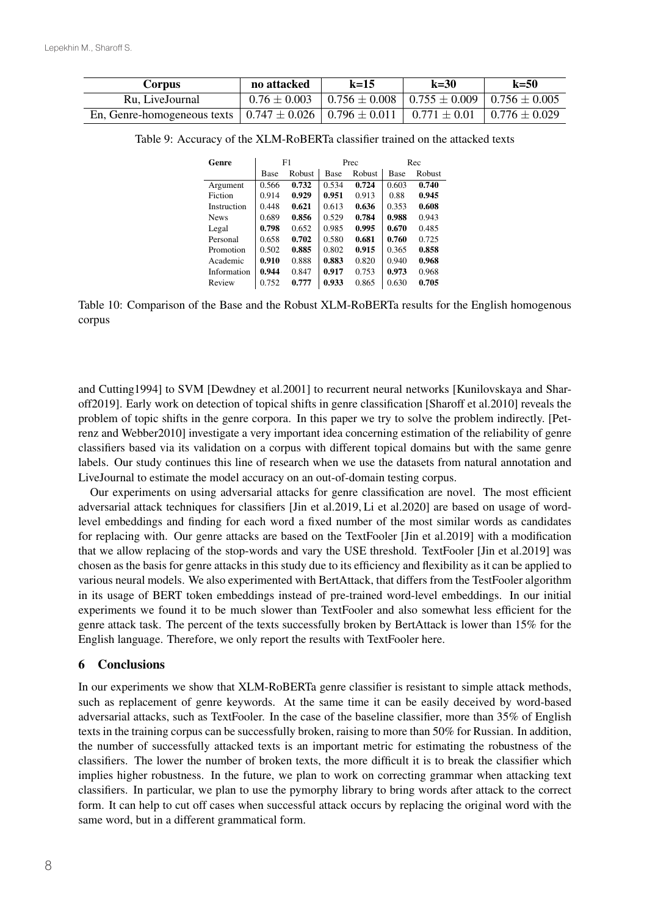| Corpus                                                                                                     | no attacked      | $k=15$                                                    | $k=30$ | $k=50$ |
|------------------------------------------------------------------------------------------------------------|------------------|-----------------------------------------------------------|--------|--------|
| Ru. LiveJournal                                                                                            | $0.76 \pm 0.003$ | $0.756 \pm 0.008$   $0.755 \pm 0.009$   $0.756 \pm 0.005$ |        |        |
| En, Genre-homogeneous texts   $0.747 \pm 0.026$   $0.796 \pm 0.011$   $0.771 \pm 0.01$   $0.776 \pm 0.029$ |                  |                                                           |        |        |

Table 9: Accuracy of the XLM-RoBERTa classifier trained on the attacked texts

| Genre       |       | F1     |       | Prec   |             | Rec           |
|-------------|-------|--------|-------|--------|-------------|---------------|
|             | Base  | Robust | Base  | Robust | <b>Base</b> | <b>Robust</b> |
| Argument    | 0.566 | 0.732  | 0.534 | 0.724  | 0.603       | 0.740         |
| Fiction     | 0.914 | 0.929  | 0.951 | 0.913  | 0.88        | 0.945         |
| Instruction | 0.448 | 0.621  | 0.613 | 0.636  | 0.353       | 0.608         |
| <b>News</b> | 0.689 | 0.856  | 0.529 | 0.784  | 0.988       | 0.943         |
| Legal       | 0.798 | 0.652  | 0.985 | 0.995  | 0.670       | 0.485         |
| Personal    | 0.658 | 0.702  | 0.580 | 0.681  | 0.760       | 0.725         |
| Promotion   | 0.502 | 0.885  | 0.802 | 0.915  | 0.365       | 0.858         |
| Academic    | 0.910 | 0.888  | 0.883 | 0.820  | 0.940       | 0.968         |
| Information | 0.944 | 0.847  | 0.917 | 0.753  | 0.973       | 0.968         |
| Review      | 0.752 | 0.777  | 0.933 | 0.865  | 0.630       | 0.705         |

Table 10: Comparison of the Base and the Robust XLM-RoBERTa results for the English homogenous corpus

and Cutting1994] to SVM [Dewdney et al.2001] to recurrent neural networks [Kunilovskaya and Sharoff2019]. Early work on detection of topical shifts in genre classification [Sharoff et al.2010] reveals the problem of topic shifts in the genre corpora. In this paper we try to solve the problem indirectly. [Petrenz and Webber2010] investigate a very important idea concerning estimation of the reliability of genre classifiers based via its validation on a corpus with different topical domains but with the same genre labels. Our study continues this line of research when we use the datasets from natural annotation and LiveJournal to estimate the model accuracy on an out-of-domain testing corpus.

Our experiments on using adversarial attacks for genre classification are novel. The most efficient adversarial attack techniques for classifiers [Jin et al.2019, Li et al.2020] are based on usage of wordlevel embeddings and finding for each word a fixed number of the most similar words as candidates for replacing with. Our genre attacks are based on the TextFooler [Jin et al.2019] with a modification that we allow replacing of the stop-words and vary the USE threshold. TextFooler [Jin et al.2019] was chosen as the basis for genre attacks in this study due to its efficiency and flexibility as it can be applied to various neural models. We also experimented with BertAttack, that differs from the TestFooler algorithm in its usage of BERT token embeddings instead of pre-trained word-level embeddings. In our initial experiments we found it to be much slower than TextFooler and also somewhat less efficient for the genre attack task. The percent of the texts successfully broken by BertAttack is lower than 15% for the English language. Therefore, we only report the results with TextFooler here.

### 6 Conclusions

In our experiments we show that XLM-RoBERTa genre classifier is resistant to simple attack methods, such as replacement of genre keywords. At the same time it can be easily deceived by word-based adversarial attacks, such as TextFooler. In the case of the baseline classifier, more than 35% of English texts in the training corpus can be successfully broken, raising to more than 50% for Russian. In addition, the number of successfully attacked texts is an important metric for estimating the robustness of the classifiers. The lower the number of broken texts, the more difficult it is to break the classifier which implies higher robustness. In the future, we plan to work on correcting grammar when attacking text classifiers. In particular, we plan to use the pymorphy library to bring words after attack to the correct form. It can help to cut off cases when successful attack occurs by replacing the original word with the same word, but in a different grammatical form.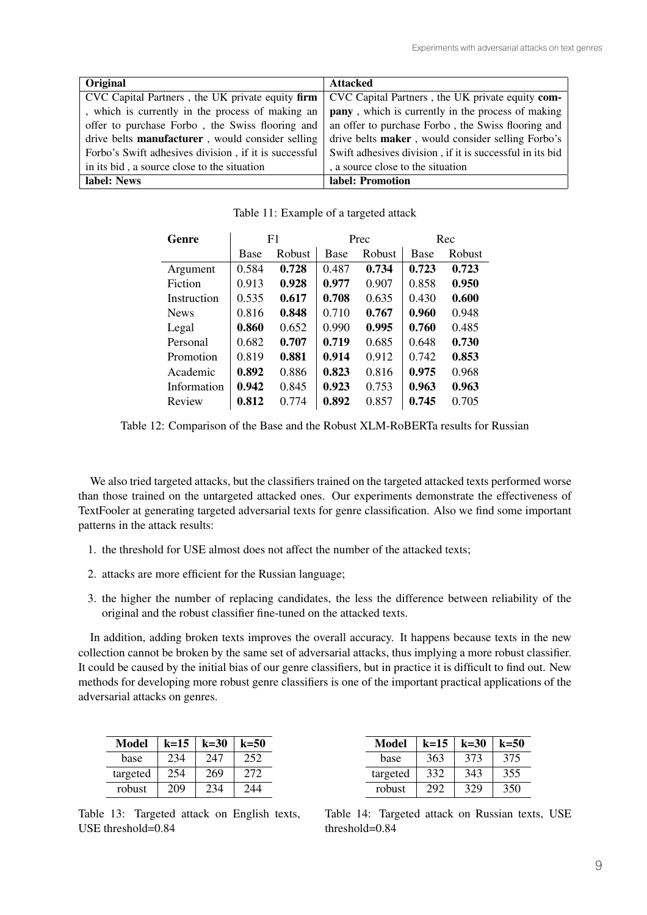| <b>Original</b>                                          | <b>Attacked</b>                                           |
|----------------------------------------------------------|-----------------------------------------------------------|
| CVC Capital Partners, the UK private equity firm         | CVC Capital Partners, the UK private equity com-          |
| , which is currently in the process of making an         | <b>pany</b> , which is currently in the process of making |
| offer to purchase Forbo, the Swiss flooring and          | an offer to purchase Forbo, the Swiss flooring and        |
| drive belts <b>manufacturer</b> , would consider selling | drive belts <b>maker</b> , would consider selling Forbo's |
| Forbo's Swift adhesives division, if it is successful    | Swift adhesives division, if it is successful in its bid  |
| in its bid, a source close to the situation              | , a source close to the situation                         |
| label: News                                              | label: Promotion                                          |

Table 11: Example of a targeted attack

| Genre       | F1    |        | Prec  |        | Rec   |        |
|-------------|-------|--------|-------|--------|-------|--------|
|             | Base  | Robust | Base  | Robust | Base  | Robust |
| Argument    | 0.584 | 0.728  | 0.487 | 0.734  | 0.723 | 0.723  |
| Fiction     | 0.913 | 0.928  | 0.977 | 0.907  | 0.858 | 0.950  |
| Instruction | 0.535 | 0.617  | 0.708 | 0.635  | 0.430 | 0.600  |
| <b>News</b> | 0.816 | 0.848  | 0.710 | 0.767  | 0.960 | 0.948  |
| Legal       | 0.860 | 0.652  | 0.990 | 0.995  | 0.760 | 0.485  |
| Personal    | 0.682 | 0.707  | 0.719 | 0.685  | 0.648 | 0.730  |
| Promotion   | 0.819 | 0.881  | 0.914 | 0.912  | 0.742 | 0.853  |
| Academic    | 0.892 | 0.886  | 0.823 | 0.816  | 0.975 | 0.968  |
| Information | 0.942 | 0.845  | 0.923 | 0.753  | 0.963 | 0.963  |
| Review      | 0.812 | 0.774  | 0.892 | 0.857  | 0.745 | 0.705  |

Table 12: Comparison of the Base and the Robust XLM-RoBERTa results for Russian classifiers. In particular, we plan to use the pymorphy library to bring words after attack to the correct

We also tried targeted attacks, but the classifiers trained on the targeted attacked texts performed worse than those trained on the untargeted attacked ones. Our experiments demonstrate the effectiveness of  $\frac{1}{2}$  patterns in the attack results: TextFooler at generating targeted adversarial texts for genre classification. Also we find some important<br>patterns in the attack results:

- 1. the threshold for USE almost does not affect the number of the attacked texts;<br>2. attacks are more efficient for the Russian language;
- $3. t \text{m}$  the number of replacing candidates, the difference between reliability of the difference between reliability of the difference between reliability of the difference between reliability of the difference between 2. attacks are more efficient for the Russian language;
- 3. the higher the number of replacing candidates, the less the difference between reliability of the original and the robust classifier fine-tuned on the attacked texts. original and the robust classifier fine-tuned on the attacked texts.

In addition, adding broken texts improves the overall accuracy. It happens because texts in the new methods for developing more robust general more received. The important process is one of the important process in the collection cannot be broken by the same set of adversarial attacks, thus implying a more robust classifier. It could be caused by the initial bias of our genre classifiers, but in practice it is difficult to find out. New methods for developing more robust genre classifiers is one of the important practical applications of the methods for developing more robust genre classifiers is one of the important practical applications of the adversarial attacks on genres. adversarial attacks on genres.

| Model    | $k=15$ | $k = 30$ | $k = 50$ |
|----------|--------|----------|----------|
| base     | 234    | 247      | 252      |
| targeted | 254    | 269      | 272      |
| robust   | 10 I   |          |          |

Table 13: Targeted attack on English texts, USE threshold= $0.84$ 

| Model    | $k=15$ | $k=30$ | $k = 50$ |
|----------|--------|--------|----------|
| base     | 363    | 373    | 375      |
| targeted | 332    | 343    | 355      |
| robust   |        | 329    | 350      |

Table 14: Targeted attack on Russian texts, USE threshold=0.84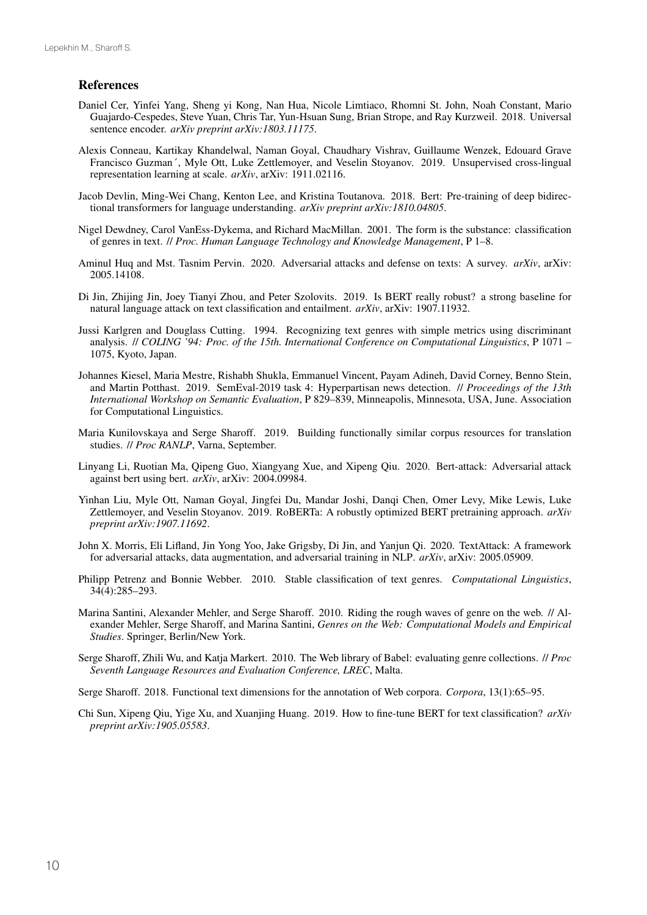### References

- Daniel Cer, Yinfei Yang, Sheng yi Kong, Nan Hua, Nicole Limtiaco, Rhomni St. John, Noah Constant, Mario Guajardo-Cespedes, Steve Yuan, Chris Tar, Yun-Hsuan Sung, Brian Strope, and Ray Kurzweil. 2018. Universal sentence encoder. *arXiv preprint arXiv:1803.11175*.
- Alexis Conneau, Kartikay Khandelwal, Naman Goyal, Chaudhary Vishrav, Guillaume Wenzek, Edouard Grave Francisco Guzman´, Myle Ott, Luke Zettlemoyer, and Veselin Stoyanov. 2019. Unsupervised cross-lingual representation learning at scale. *arXiv*, arXiv: 1911.02116.
- Jacob Devlin, Ming-Wei Chang, Kenton Lee, and Kristina Toutanova. 2018. Bert: Pre-training of deep bidirectional transformers for language understanding. *arXiv preprint arXiv:1810.04805*.
- Nigel Dewdney, Carol VanEss-Dykema, and Richard MacMillan. 2001. The form is the substance: classification of genres in text. // *Proc. Human Language Technology and Knowledge Management*, P 1–8.
- Aminul Huq and Mst. Tasnim Pervin. 2020. Adversarial attacks and defense on texts: A survey. *arXiv*, arXiv: 2005.14108.
- Di Jin, Zhijing Jin, Joey Tianyi Zhou, and Peter Szolovits. 2019. Is BERT really robust? a strong baseline for natural language attack on text classification and entailment. *arXiv*, arXiv: 1907.11932.
- Jussi Karlgren and Douglass Cutting. 1994. Recognizing text genres with simple metrics using discriminant analysis. // *COLING '94: Proc. of the 15th. International Conference on Computational Linguistics*, P 1071 – 1075, Kyoto, Japan.
- Johannes Kiesel, Maria Mestre, Rishabh Shukla, Emmanuel Vincent, Payam Adineh, David Corney, Benno Stein, and Martin Potthast. 2019. SemEval-2019 task 4: Hyperpartisan news detection. // *Proceedings of the 13th International Workshop on Semantic Evaluation*, P 829–839, Minneapolis, Minnesota, USA, June. Association for Computational Linguistics.
- Maria Kunilovskaya and Serge Sharoff. 2019. Building functionally similar corpus resources for translation studies. // *Proc RANLP*, Varna, September.
- Linyang Li, Ruotian Ma, Qipeng Guo, Xiangyang Xue, and Xipeng Qiu. 2020. Bert-attack: Adversarial attack against bert using bert. *arXiv*, arXiv: 2004.09984.
- Yinhan Liu, Myle Ott, Naman Goyal, Jingfei Du, Mandar Joshi, Danqi Chen, Omer Levy, Mike Lewis, Luke Zettlemoyer, and Veselin Stoyanov. 2019. RoBERTa: A robustly optimized BERT pretraining approach. *arXiv preprint arXiv:1907.11692*.
- John X. Morris, Eli Lifland, Jin Yong Yoo, Jake Grigsby, Di Jin, and Yanjun Qi. 2020. TextAttack: A framework for adversarial attacks, data augmentation, and adversarial training in NLP. *arXiv*, arXiv: 2005.05909.
- Philipp Petrenz and Bonnie Webber. 2010. Stable classification of text genres. *Computational Linguistics*, 34(4):285–293.
- Marina Santini, Alexander Mehler, and Serge Sharoff. 2010. Riding the rough waves of genre on the web. // Alexander Mehler, Serge Sharoff, and Marina Santini, *Genres on the Web: Computational Models and Empirical Studies*. Springer, Berlin/New York.
- Serge Sharoff, Zhili Wu, and Katja Markert. 2010. The Web library of Babel: evaluating genre collections. // *Proc Seventh Language Resources and Evaluation Conference, LREC*, Malta.

Serge Sharoff. 2018. Functional text dimensions for the annotation of Web corpora. *Corpora*, 13(1):65–95.

Chi Sun, Xipeng Qiu, Yige Xu, and Xuanjing Huang. 2019. How to fine-tune BERT for text classification? *arXiv preprint arXiv:1905.05583*.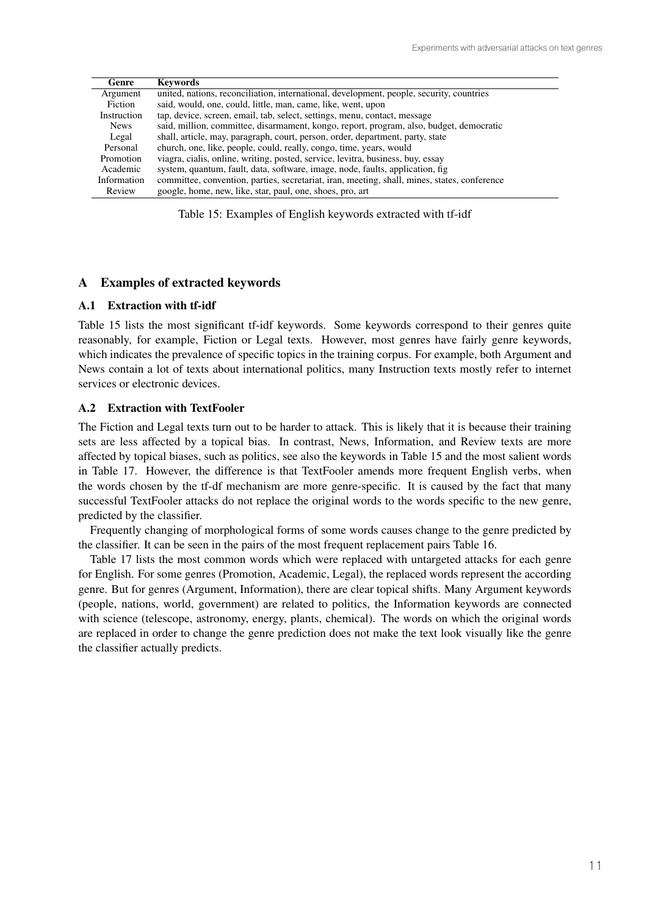| Genre       | <b>Keywords</b>                                                                              |
|-------------|----------------------------------------------------------------------------------------------|
| Argument    | united, nations, reconciliation, international, development, people, security, countries     |
| Fiction     | said, would, one, could, little, man, came, like, went, upon                                 |
| Instruction | tap, device, screen, email, tab, select, settings, menu, contact, message                    |
| <b>News</b> | said, million, committee, disarmament, kongo, report, program, also, budget, democratic      |
| Legal       | shall, article, may, paragraph, court, person, order, department, party, state               |
| Personal    | church, one, like, people, could, really, congo, time, years, would                          |
| Promotion   | viagra, cialis, online, writing, posted, service, levitra, business, buy, essay              |
| Academic    | system, quantum, fault, data, software, image, node, faults, application, fig.               |
| Information | committee, convention, parties, secretariat, iran, meeting, shall, mines, states, conference |
| Review      | google, home, new, like, star, paul, one, shoes, pro, art                                    |

Table 15: Examples of English keywords extracted with tf-idf

## A Examples of extracted keywords

### A.1 Extraction with tf-idf

Table 15 lists the most significant tf-idf keywords. Some keywords correspond to their genres quite reasonably, for example, Fiction or Legal texts. However, most genres have fairly genre keywords, which indicates the prevalence of specific topics in the training corpus. For example, both Argument and News contain a lot of texts about international politics, many Instruction texts mostly refer to internet services or electronic devices.

#### A.2 Extraction with TextFooler

The Fiction and Legal texts turn out to be harder to attack. This is likely that it is because their training sets are less affected by a topical bias. In contrast, News, Information, and Review texts are more affected by topical biases, such as politics, see also the keywords in Table 15 and the most salient words in Table 17. However, the difference is that TextFooler amends more frequent English verbs, when the words chosen by the tf-df mechanism are more genre-specific. It is caused by the fact that many successful TextFooler attacks do not replace the original words to the words specific to the new genre, predicted by the classifier.

Frequently changing of morphological forms of some words causes change to the genre predicted by the classifier. It can be seen in the pairs of the most frequent replacement pairs Table 16.

Table 17 lists the most common words which were replaced with untargeted attacks for each genre for English. For some genres (Promotion, Academic, Legal), the replaced words represent the according genre. But for genres (Argument, Information), there are clear topical shifts. Many Argument keywords (people, nations, world, government) are related to politics, the Information keywords are connected with science (telescope, astronomy, energy, plants, chemical). The words on which the original words are replaced in order to change the genre prediction does not make the text look visually like the genre the classifier actually predicts.